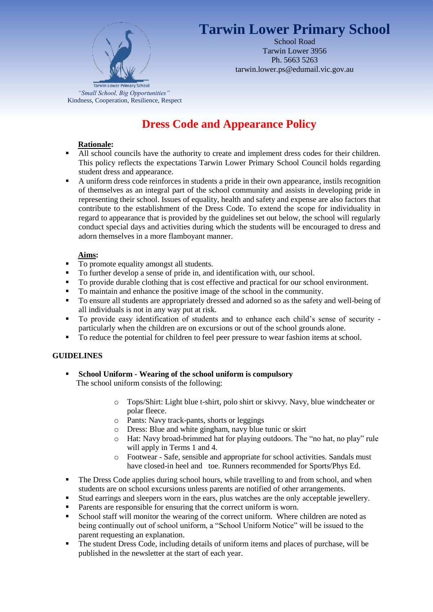

# **Tarwin Lower Primary School**

School Road Tarwin Lower 3956 Ph. 5663 5263 tarwin.lower.ps@edumail.vic.gov.au

## **Dress Code and Appearance Policy**

#### **Rationale:**

- All school councils have the authority to create and implement dress codes for their children. This policy reflects the expectations Tarwin Lower Primary School Council holds regarding student dress and appearance.
- A uniform dress code reinforces in students a pride in their own appearance, instils recognition of themselves as an integral part of the school community and assists in developing pride in representing their school. Issues of equality, health and safety and expense are also factors that contribute to the establishment of the Dress Code. To extend the scope for individuality in regard to appearance that is provided by the guidelines set out below, the school will regularly conduct special days and activities during which the students will be encouraged to dress and adorn themselves in a more flamboyant manner.

## **Aims:**

- To promote equality amongst all students.
- To further develop a sense of pride in, and identification with, our school.
- To provide durable clothing that is cost effective and practical for our school environment.
- To maintain and enhance the positive image of the school in the community.
- To ensure all students are appropriately dressed and adorned so as the safety and well-being of all individuals is not in any way put at risk.
- To provide easy identification of students and to enhance each child's sense of security particularly when the children are on excursions or out of the school grounds alone.
- To reduce the potential for children to feel peer pressure to wear fashion items at school.

#### **GUIDELINES**

- **School Uniform - Wearing of the school uniform is compulsory** The school uniform consists of the following:
	- o Tops/Shirt: Light blue t-shirt, polo shirt or skivvy. Navy, blue windcheater or polar fleece.
	- o Pants: Navy track-pants, shorts or leggings
	- o Dress: Blue and white gingham, navy blue tunic or skirt
	- o Hat: Navy broad-brimmed hat for playing outdoors. The "no hat, no play" rule will apply in Terms 1 and 4.
	- o Footwear Safe, sensible and appropriate for school activities. Sandals must have closed-in heel and toe. Runners recommended for Sports/Phys Ed.
- The Dress Code applies during school hours, while travelling to and from school, and when students are on school excursions unless parents are notified of other arrangements.
- Stud earrings and sleepers worn in the ears, plus watches are the only acceptable jewellery.
- **Parents are responsible for ensuring that the correct uniform is worn.**
- School staff will monitor the wearing of the correct uniform. Where children are noted as being continually out of school uniform, a "School Uniform Notice" will be issued to the parent requesting an explanation.
- The student Dress Code, including details of uniform items and places of purchase, will be published in the newsletter at the start of each year.